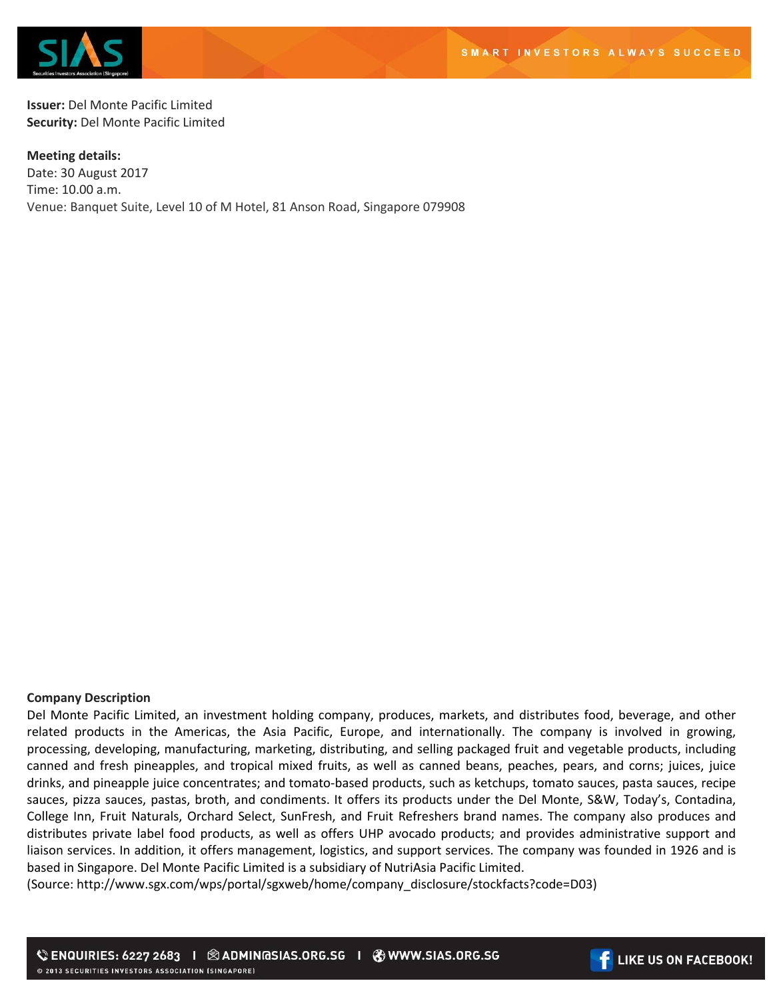

**Issuer:** Del Monte Pacific Limited **Security:** Del Monte Pacific Limited

**Meeting details:**  Date: 30 August 2017 Time: 10.00 a.m. Venue: Banquet Suite, Level 10 of M Hotel, 81 Anson Road, Singapore 079908

## **Company Description**

Del Monte Pacific Limited, an investment holding company, produces, markets, and distributes food, beverage, and other related products in the Americas, the Asia Pacific, Europe, and internationally. The company is involved in growing, processing, developing, manufacturing, marketing, distributing, and selling packaged fruit and vegetable products, including canned and fresh pineapples, and tropical mixed fruits, as well as canned beans, peaches, pears, and corns; juices, juice drinks, and pineapple juice concentrates; and tomato-based products, such as ketchups, tomato sauces, pasta sauces, recipe sauces, pizza sauces, pastas, broth, and condiments. It offers its products under the Del Monte, S&W, Today's, Contadina, College Inn, Fruit Naturals, Orchard Select, SunFresh, and Fruit Refreshers brand names. The company also produces and distributes private label food products, as well as offers UHP avocado products; and provides administrative support and liaison services. In addition, it offers management, logistics, and support services. The company was founded in 1926 and is based in Singapore. Del Monte Pacific Limited is a subsidiary of NutriAsia Pacific Limited.

(Source: http://www.sgx.com/wps/portal/sgxweb/home/company\_disclosure/stockfacts?code=D03)

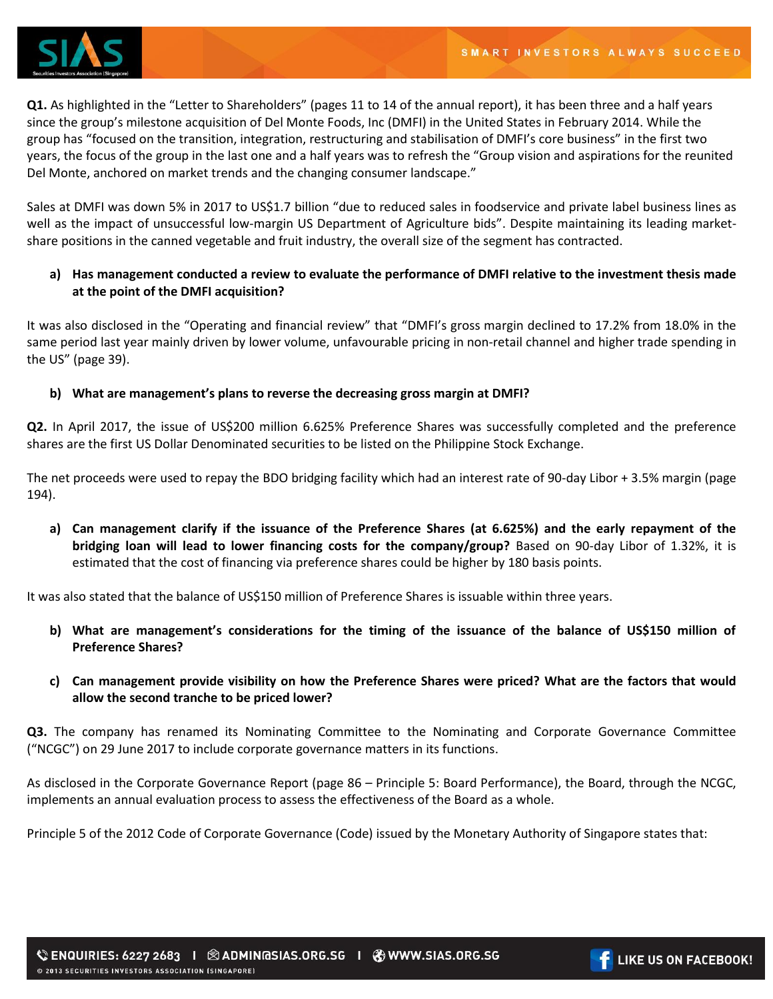

**Q1.** As highlighted in the "Letter to Shareholders" (pages 11 to 14 of the annual report), it has been three and a half years since the group's milestone acquisition of Del Monte Foods, Inc (DMFI) in the United States in February 2014. While the group has "focused on the transition, integration, restructuring and stabilisation of DMFI's core business" in the first two years, the focus of the group in the last one and a half years was to refresh the "Group vision and aspirations for the reunited Del Monte, anchored on market trends and the changing consumer landscape."

Sales at DMFI was down 5% in 2017 to US\$1.7 billion "due to reduced sales in foodservice and private label business lines as well as the impact of unsuccessful low-margin US Department of Agriculture bids". Despite maintaining its leading marketshare positions in the canned vegetable and fruit industry, the overall size of the segment has contracted.

## **a) Has management conducted a review to evaluate the performance of DMFI relative to the investment thesis made at the point of the DMFI acquisition?**

It was also disclosed in the "Operating and financial review" that "DMFI's gross margin declined to 17.2% from 18.0% in the same period last year mainly driven by lower volume, unfavourable pricing in non-retail channel and higher trade spending in the US" (page 39).

## **b) What are management's plans to reverse the decreasing gross margin at DMFI?**

**Q2.** In April 2017, the issue of US\$200 million 6.625% Preference Shares was successfully completed and the preference shares are the first US Dollar Denominated securities to be listed on the Philippine Stock Exchange.

The net proceeds were used to repay the BDO bridging facility which had an interest rate of 90-day Libor + 3.5% margin (page 194).

**a) Can management clarify if the issuance of the Preference Shares (at 6.625%) and the early repayment of the bridging loan will lead to lower financing costs for the company/group?** Based on 90-day Libor of 1.32%, it is estimated that the cost of financing via preference shares could be higher by 180 basis points.

It was also stated that the balance of US\$150 million of Preference Shares is issuable within three years.

- **b) What are management's considerations for the timing of the issuance of the balance of US\$150 million of Preference Shares?**
- **c) Can management provide visibility on how the Preference Shares were priced? What are the factors that would allow the second tranche to be priced lower?**

**Q3.** The company has renamed its Nominating Committee to the Nominating and Corporate Governance Committee ("NCGC") on 29 June 2017 to include corporate governance matters in its functions.

As disclosed in the Corporate Governance Report (page 86 – Principle 5: Board Performance), the Board, through the NCGC, implements an annual evaluation process to assess the effectiveness of the Board as a whole.

Principle 5 of the 2012 Code of Corporate Governance (Code) issued by the Monetary Authority of Singapore states that: